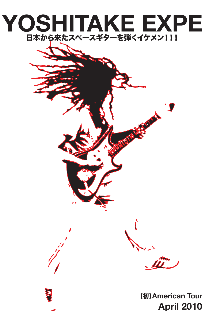## 日本から来たスペースギターを弾くイケメン!!! **YOSHITAKE EXPE**